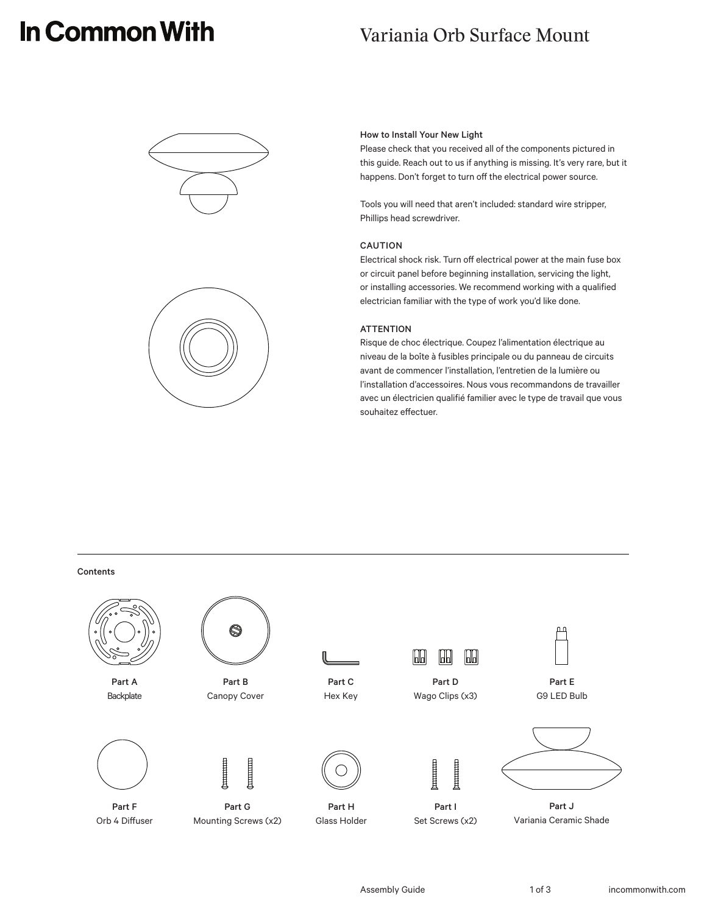# In Common With

## Variania Orb Surface Mount





#### How to Install Your New Light

Please check that you received all of the components pictured in this guide. Reach out to us if anything is missing. It's very rare, but it happens. Don't forget to turn off the electrical power source.

Tools you will need that aren't included: standard wire stripper, Phillips head screwdriver.

#### CAUTION

Electrical shock risk. Turn off electrical power at the main fuse box or circuit panel before beginning installation, servicing the light, or installing accessories. We recommend working with a qualified electrician familiar with the type of work you'd like done.

#### **ATTENTION**

Risque de choc électrique. Coupez l'alimentation électrique au niveau de la boîte à fusibles principale ou du panneau de circuits avant de commencer l'installation, l'entretien de la lumière ou l'installation d'accessoires. Nous vous recommandons de travailler avec un électricien qualifié familier avec le type de travail que vous souhaitez effectuer.

**Contents** 

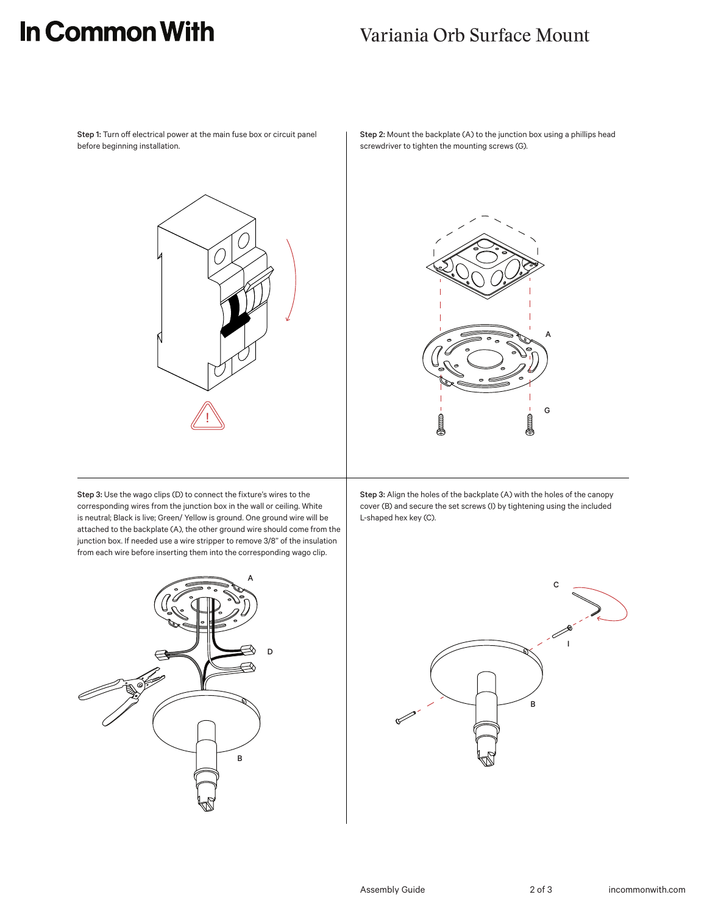## In Common With

### Variania Orb Surface Mount

Step 1: Turn off electrical power at the main fuse box or circuit panel before beginning installation.



Step 2: Mount the backplate (A) to the junction box using a phillips head screwdriver to tighten the mounting screws (G).



Step 3: Use the wago clips (D) to connect the fixture's wires to the corresponding wires from the junction box in the wall or ceiling. White is neutral; Black is live; Green/ Yellow is ground. One ground wire will be attached to the backplate (A), the other ground wire should come from the junction box. If needed use a wire stripper to remove 3/8" of the insulation from each wire before inserting them into the corresponding wago clip.



Step 3: Align the holes of the backplate (A) with the holes of the canopy cover (B) and secure the set screws (I) by tightening using the included L-shaped hex key (C).